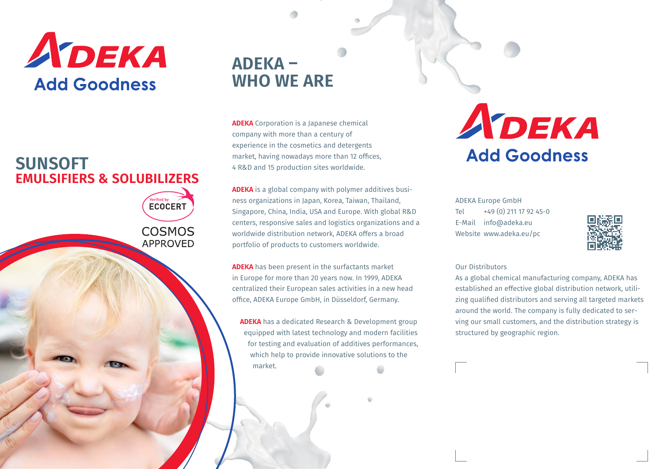

### **EMULSIFIERS & SOLUBILIZERS SUNSOFT**

Verified by<br>**ECOCERT COSMOS APPROVED** 

### **ADEKA – WHO WE ARE**

**ADEKA** Corporation is a Japanese chemical company with more than a century of experience in the cosmetics and detergents market, having nowadays more than 12 offices, 4 R&D and 15 production sites worldwide.

**ADEKA** is a global company with polymer additives business organizations in Japan, Korea, Taiwan, Thailand, Singapore, China, India, USA and Europe. With global R&D centers, responsive sales and logistics organizations and a worldwide distribution network, ADEKA offers a broad portfolio of products to customers worldwide.

**ADEKA** has been present in the surfactants market in Europe for more than 20 years now. In 1999, ADEKA centralized their European sales activities in a new head office, ADEKA Europe GmbH, in Düsseldorf, Germany.

**ADEKA** has a dedicated Research & Development group equipped with latest technology and modern facilities for testing and evaluation of additives performances, which help to provide innovative solutions to the market.

# ADEKA **Add Goodness**

ADEKA Europe GmbH Tel +49 (0) 211 17 92 45-0 E-Mail info@adeka.eu Website www.adeka.eu/pc



#### Our Distributors

As a global chemical manufacturing company, ADEKA has established an effective global distribution network, utilizing qualified distributors and serving all targeted markets around the world. The company is fully dedicated to serving our small customers, and the distribution strategy is structured by geographic region.